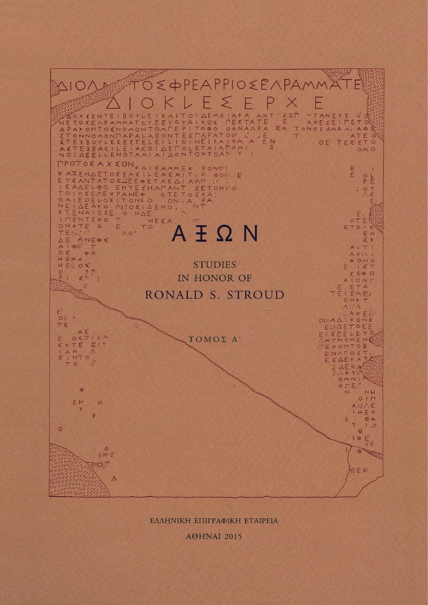

ΕΛΛΗΝΙΚΗ ΕΠΙΓΡΑΦΙΚΗ ΕΤΑΙΡΕΙΑ

AOHNAI 2015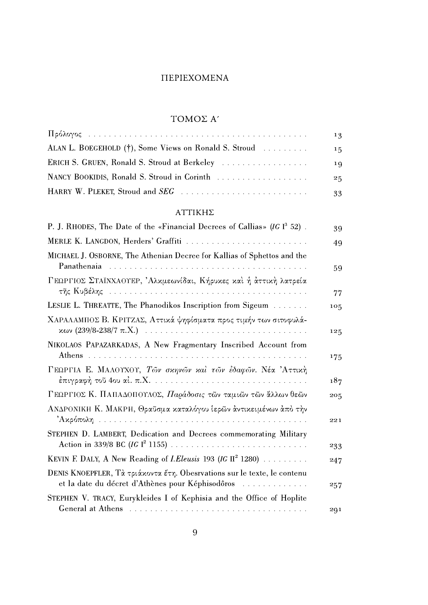# **ΠΕΡΙΕΧΟΜΕΝΑ**

# ΤΟΜΟΣ Α'

|                                                       | 13 |
|-------------------------------------------------------|----|
| ALAN L. BOEGEHOLD (†), Some Views on Ronald S. Stroud | 15 |
|                                                       | 19 |
| NANCY BOOKIDIS, Ronald S. Stroud in Corinth           | 25 |
|                                                       | 33 |
|                                                       |    |

### $\text{ATTIKH}\Sigma$

| P. J. RHODES, The Date of the «Financial Decrees of Callias» (IG $I^3$ 52).                                                  | 39  |
|------------------------------------------------------------------------------------------------------------------------------|-----|
| MERLE K. LANGDON, Herders' Graffiti                                                                                          | 49  |
| MICHAEL J. OSBORNE, The Athenian Decree for Kallias of Sphettos and the                                                      | 59  |
| ΓΕΩΡΓΙΟΣ ΣΤΑΪΝΧΑΟΥΕΡ, Άλκμεωνίδαι, Κήρυκες και ή άττική λατρεία                                                              | 77  |
| LESLIE L. THREATTE, The Phanodikos Inscription from Sigeum                                                                   | 105 |
| ΧΑΡΑΛΑΜΠΟΣ Β. ΚΡΙΤΖΑΣ, Αττικά ψηφίσματα προς τιμήν των σιτοφυλά-                                                             | 125 |
| NIKOLAOS PAPAZARKADAS, A New Fragmentary Inscribed Account from                                                              | 175 |
| ΓΕΩΡΓΙΑ Ε. ΜΑΛΟΥΧΟΥ, Τών σκηνών και τών έδαφών. Νέα 'Αττική                                                                  | 187 |
| ΓΕΩΡΓΙΟΣ Κ. ΠΑΠΑΔΟΠΟΥΛΟΣ, Παράδοσις τῶν ταμιῶν τῶν ἄλλων θεῶν                                                                | 205 |
| ΑΝΔΡΟΝΙΚΗ Κ. ΜΑΚΡΗ, Θραΰσμα καταλόγου ἱερῶν ἀντικειμένων ἀπὸ τὴν                                                             | 221 |
| STEPHEN D. LAMBERT, Dedication and Decrees commemorating Military                                                            | 233 |
| KEVIN F. DALY, A New Reading of <i>I. Eleusis</i> 193 ( <i>IG</i> II <sup>2</sup> 1280)                                      | 247 |
| DENIS KNOEPFLER, Τὰ τριάχοντα ἔτη. Obesrvations sur le texte, le contenu<br>et la date du décret d'Athènes pour Képhisodôros | 257 |
| STEPHEN V. TRACY, Eurykleides I of Kephisia and the Office of Hoplite                                                        | 291 |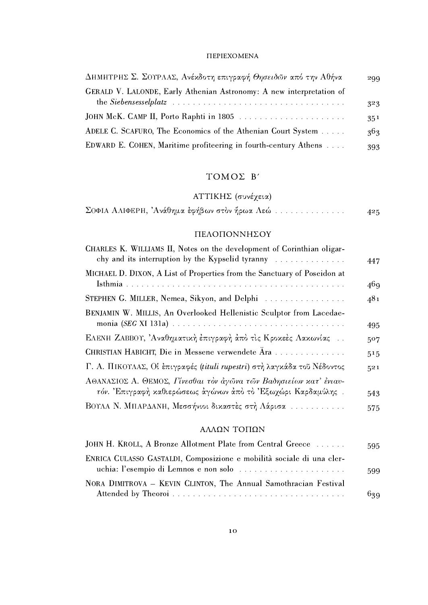#### $\label{thm:2} \Pi\text{EPIEXOMENA}$

| ΔΗΜΗΤΡΗΣ Σ. ΣΟΥΡΛΑΣ, Ανέκδοτη επιγραφή Θησειδών από την Αθήνα        | 299 |
|----------------------------------------------------------------------|-----|
| GERALD V. LALONDE, Early Athenian Astronomy: A new interpretation of |     |
|                                                                      | 323 |
| JOHN McK. CAMP II, Porto Raphti in 1805                              | 351 |
| ADELE C. SCAFURO, The Economics of the Athenian Court System         | 363 |
| EDWARD E. COHEN, Maritime profiteering in fourth-century Athens      | 393 |

## TOMOΣ B'

# ΑΤΤΙΚΗΣ (συνέχεια)

| $\Sigma$ ΟΦΙΑ ΑΛΙΦΕΡΗ, 'Ανάθημα έφήβων στον ήρωα Λεώ |  | 425 |
|------------------------------------------------------|--|-----|
|------------------------------------------------------|--|-----|

### ΠΕΛΟΠΟΝΝΗΣΟΥ

| CHARLES K. WILLIAMS II, Notes on the development of Corinthian oligar-<br>chy and its interruption by the Kypselid tyranny $\ldots$                                               | 447 |
|-----------------------------------------------------------------------------------------------------------------------------------------------------------------------------------|-----|
| MICHAEL D. DIXON, A List of Properties from the Sanctuary of Poseidon at                                                                                                          | 46q |
| STEPHEN G. MILLER, Nemea, Sikyon, and Delphi                                                                                                                                      | 481 |
| BENJAMIN W. MILLIS, An Overlooked Hellenistic Sculptor from Lacedae-<br>monia (SEG XI 131a) $\ldots \ldots \ldots \ldots \ldots \ldots \ldots \ldots \ldots \ldots \ldots \ldots$ | 495 |
| ΕΛΕΝΗ ΖΑΒΒΟΥ, 'Αναθηματική έπιγραφή άπό τις Κροκεές Λακωνίας                                                                                                                      | 507 |
| CHRISTIAN HABICHT, Die in Messene verwendete Ara                                                                                                                                  | 515 |
| Γ. Α. ΠΙΚΟΥΛΑΣ, Οί έπιγραφές (tituli rupestri) στη λαγκάδα του Νέδοντος                                                                                                           | 521 |
| ΑΘΑΝΑΣΙΟΣ Α. ΘΕΜΟΣ, Γίνεσθαι τὸν ἀγῶνα τῶν Βαδησιείων κατ' ένιαυ-                                                                                                                 |     |
| τόν. Επιγραφή καθιερώσεως άγώνων άπό το Εξωχώρι Καρδαμύλης.                                                                                                                       | 543 |
| ΒΟΥΛΑ Ν. ΜΠΑΡΔΑΝΗ, Μεσσήνιοι δικαστές στη Λάρισα                                                                                                                                  | 575 |
|                                                                                                                                                                                   |     |

### ΑΛΛΩΝ ΤΟΠΩΝ

| JOHN H. KROLL, A Bronze Allotment Plate from Central Greece           | 595  |
|-----------------------------------------------------------------------|------|
| ENRICA CULASSO GASTALDI, Composizione e mobilità sociale di una cler- |      |
|                                                                       | 599. |
| NORA DIMITROVA – KEVIN CLINTON, The Annual Samothracian Festival      |      |
|                                                                       | 639  |